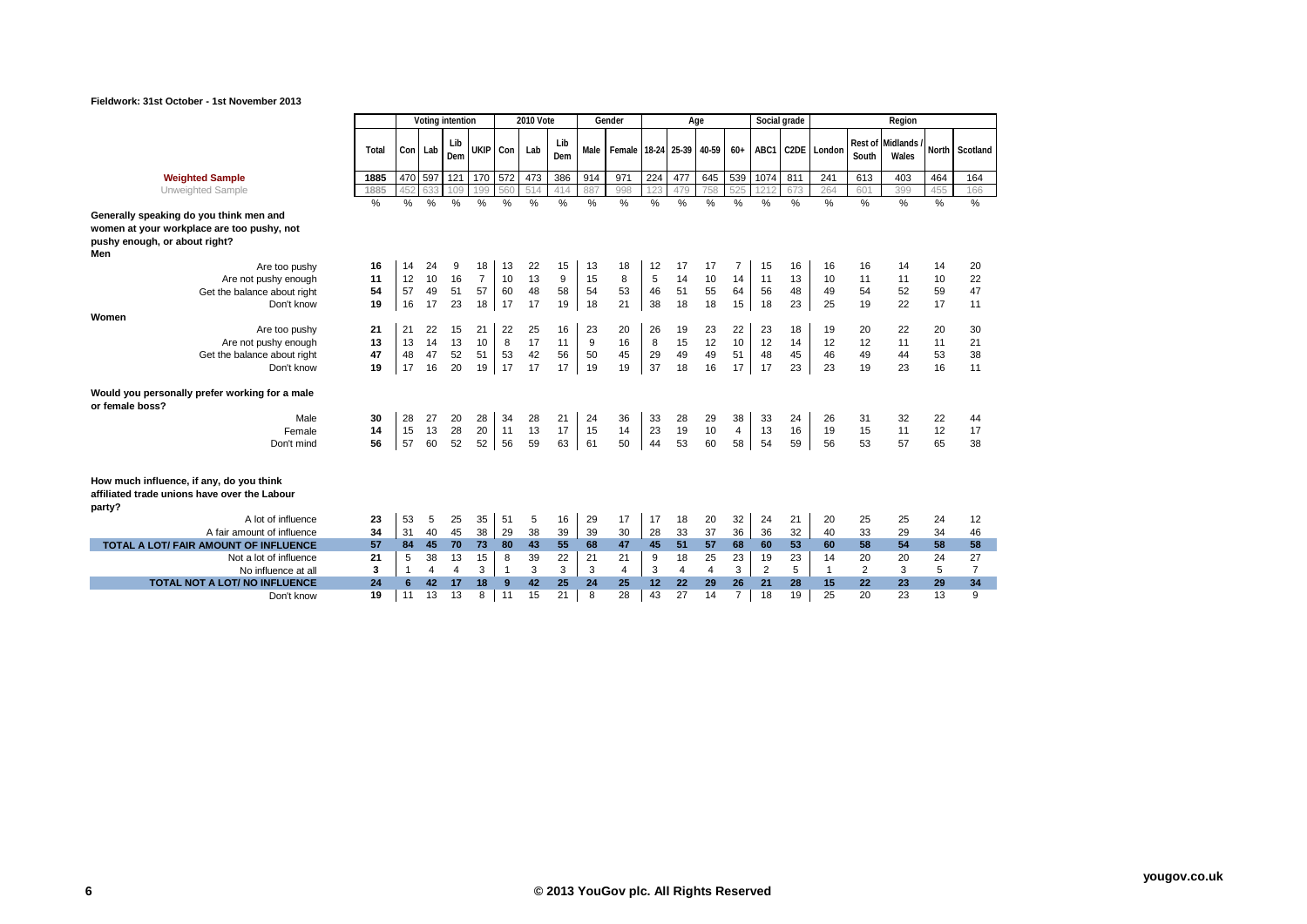|                                                                                                                               | Voting intention |                |     |                |                |              | 2010 Vote |                  |              | Gender                   |                 | Age            |                |                |                  | Social grade |                  |                  | Region                   |       |                |
|-------------------------------------------------------------------------------------------------------------------------------|------------------|----------------|-----|----------------|----------------|--------------|-----------|------------------|--------------|--------------------------|-----------------|----------------|----------------|----------------|------------------|--------------|------------------|------------------|--------------------------|-------|----------------|
|                                                                                                                               | Total            | Con Lab        |     | Lib<br>Dem     | <b>UKIP</b>    | Con          | Lab       | Lib<br>Dem       | Male         | Female 18-24 25-39 40-59 |                 |                |                | $60+$          |                  |              | ABC1 C2DE London | Rest of<br>South | <b>Midlands</b><br>Wales | North | Scotland       |
| <b>Weighted Sample</b>                                                                                                        | 1885             | 470            | 597 | 121            | 170            | 572          | 473       | 386              | 914          | 971                      | 224             | 477            | 645            | 539            | 1074             | 811          | 241              | 613              | 403                      | 464   | 164            |
| Unweighted Sample                                                                                                             | 1885             | 452            | 633 | 109            | 199            | 560          | 514       | 414              | 887          | 998                      | 123             | 479            | 758            | 525            | 121              | 673          | 264              | 601              | 399                      | 455   | 166            |
| Generally speaking do you think men and<br>women at your workplace are too pushy, not<br>pushy enough, or about right?<br>Men | $\%$             | %              | %   | $\%$           | %              | $\%$         | $\%$      | %                | %            | $\%$                     | $\%$            | %              | %              | %              | $\frac{0}{0}$    | $\%$         | $\%$             | $\%$             | %                        | $\%$  | $\frac{0}{0}$  |
| Are too pushy                                                                                                                 | 16               | 14             | 24  | 9              | 18             | 13           | 22        | 15               | 13           | 18                       | 12              | 17             | 17             | $\overline{7}$ | 15               | 16           | 16               | 16               | 14                       | 14    | 20             |
| Are not pushy enough                                                                                                          | 11               | 12             | 10  | 16             | $\overline{7}$ | 10           | 13        | $\boldsymbol{9}$ | 15           | 8                        | 5               | 14             | 10             | 14             | 11               | 13           | 10               | 11               | 11                       | 10    | 22             |
| Get the balance about right                                                                                                   | 54               | 57             | 49  | 51             | 57             | 60           | 48        | 58               | 54           | 53                       | 46              | 51             | 55             | 64             | 56               | 48           | 49               | 54               | 52                       | 59    | 47             |
| Don't know                                                                                                                    | 19               | 16             | 17  | 23             | 18             | 17           | 17        | 19               | 18           | 21                       | 38              | 18             | 18             | 15             | 18               | 23           | 25               | 19               | 22                       | 17    | 11             |
| Women                                                                                                                         |                  |                |     |                |                |              |           |                  |              |                          |                 |                |                |                |                  |              |                  |                  |                          |       |                |
| Are too pushy                                                                                                                 | 21               | 21             | 22  | 15             | 21             | 22           | 25        | 16               | 23           | 20                       | 26              | 19             | 23             | 22             | 23               | 18           | 19               | 20               | 22                       | 20    | 30             |
| Are not pushy enough                                                                                                          | 13               | 13             | 14  | 13             | 10             | 8            | 17        | 11               | 9            | 16                       | 8               | 15             | 12             | 10             | 12               | 14           | 12               | 12               | 11                       | 11    | 21             |
| Get the balance about right                                                                                                   | 47               | 48             | 47  | 52             | 51             | 53           | 42        | 56               | 50           | 45                       | 29              | 49             | 49             | 51             | 48               | 45           | 46               | 49               | 44                       | 53    | 38             |
| Don't know                                                                                                                    | 19               | 17             | 16  | 20             | 19             | 17           | 17        | 17               | 19           | 19                       | 37              | 18             | 16             | 17             | 17               | 23           | 23               | 19               | 23                       | 16    | 11             |
| Would you personally prefer working for a male<br>or female boss?                                                             |                  |                |     |                |                |              |           |                  |              |                          |                 |                |                |                |                  |              |                  |                  |                          |       |                |
| Male                                                                                                                          | 30               | 28             | 27  | 20             | 28             | 34           | 28        | 21               | 24           | 36                       | 33              | 28             | 29             | 38             | 33               | 24           | 26               | 31               | 32                       | 22    | 44             |
| Female                                                                                                                        | 14               | 15             | 13  | 28             | 20             | 11           | 13        | 17               | 15           | 14                       | 23              | 19             | 10             | $\overline{4}$ | 13               | 16           | 19               | 15               | 11                       | 12    | 17             |
| Don't mind                                                                                                                    | 56               | 57             | 60  | 52             | 52             | 56           | 59        | 63               | 61           | 50                       | 44              | 53             | 60             | 58             | 54               | 59           | 56               | 53               | 57                       | 65    | 38             |
| How much influence, if any, do you think<br>affiliated trade unions have over the Labour<br>party?<br>A lot of influence      | 23               | 53             | 5   | 25             | 35             | 51           | 5         | 16               | 29           | 17                       | 17              | 18             | 20             | 32             | 24               | 21           | 20               | 25               | 25                       | 24    | 12             |
| A fair amount of influence                                                                                                    | 34               | 31             | 40  | 45             | 38             | 29           | 38        | 39               | 39           | 30                       | 28              | 33             | 37             | 36             | 36               | 32           | 40               | 33               | 29                       | 34    | 46             |
| TOTAL A LOT/ FAIR AMOUNT OF INFLUENCE                                                                                         | 57               | 84             | 45  | 70             | 73             | 80           | 43        | 55               | 68           | 47                       | 45              | 51             | 57             | 68             | 60               | 53           | 60               | 58               | 54                       | 58    | 58             |
| Not a lot of influence                                                                                                        | 21               | 5              | 38  | 13             | 15             | 8            | 39        | 22               | 21           | 21                       | 9               | 18             | 25             | 23             | 19               | 23           | 14               | 20               | 20                       | 24    | 27             |
| No influence at all                                                                                                           | 3                | $\overline{1}$ | 4   | $\overline{4}$ | 3              | $\mathbf{1}$ | 3         | 3                | $\mathbf{3}$ | $\overline{4}$           | 3               | $\overline{4}$ | $\overline{4}$ | 3              | $\boldsymbol{2}$ | 5            | $\mathbf{1}$     | $\overline{2}$   | 3                        | 5     | $\overline{7}$ |
| TOTAL NOT A LOT/ NO INFLUENCE                                                                                                 | 24               | 6              | 42  | 17             | 18             | 9            | 42        | 25               | 24           | 25                       | 12 <sup>2</sup> | 22             | 29             | 26             | 21               | 28           | 15               | 22               | 23                       | 29    | 34             |
| Don't know                                                                                                                    | 19               | 11             | 13  | 13             | 8              | 11           | 15        | 21               | 8            | 28                       | 43              | 27             | 14             | $\overline{7}$ | 18               | 19           | 25               | 20               | 23                       | 13    | 9              |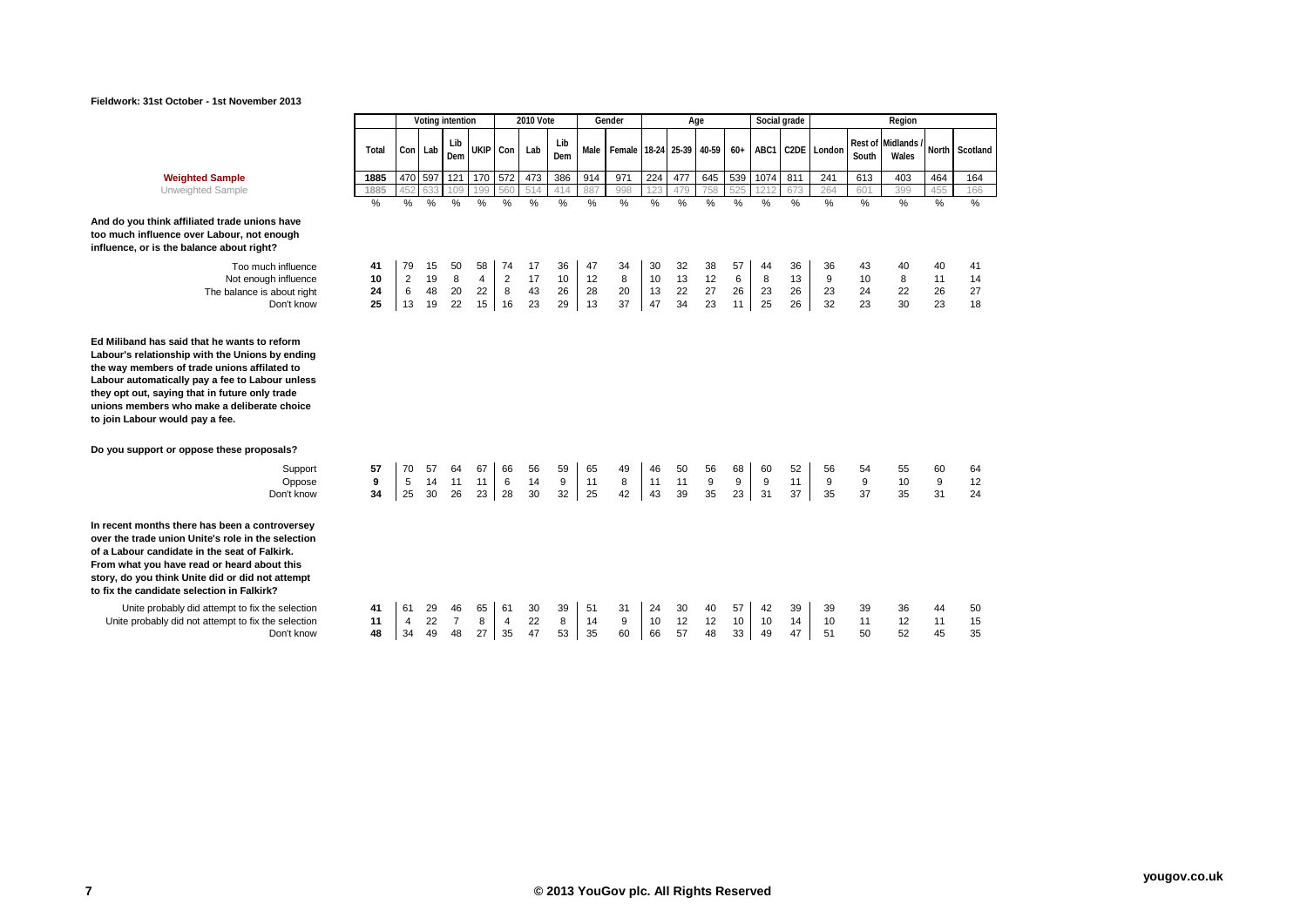

| <b>Weighted Sample</b>      | 1885 |  |  | 470   597   121   170   572   473 |                                 | 386 914 971                  |  |  | '   224   477   645   539   1074   811 | 241 | 613 | 403 | 464 | 164 |
|-----------------------------|------|--|--|-----------------------------------|---------------------------------|------------------------------|--|--|----------------------------------------|-----|-----|-----|-----|-----|
| <b>UTIMERITIER ARTITING</b> | 1885 |  |  |                                   | 452 633 109 199 560 514 414 887 | 998 123 479 758 525 1212 673 |  |  |                                        | 264 | 601 | 399 | 455 | 166 |

Unweighted Sample **1885** 452 633 109 199 560 514 414 887 998 123 479 758 525 1212 673 264 601 399 455 166

# **And do you think affiliated trade unions have too much influence over Labour, not enough influence, or is the balance about right?**

Too much influence **41** 79 15 50 58 74 17 36 47 34 30 32 38 57 44 36 36 43 40 40 41 Not enough influence **10** 2 19 8 4 2 17 10 12 8 10 13 12 6 8 13 9 10 8 11 14<br>The balance is about right **24** 6 48 20 22 8 43 26 28 20 13 22 27 26 23 26 23 24 22 26 27 net balance is about right **24** 6 48 20 22 8 43 26 28 20 13 22 27 26 23 26 23 24 22 26<br>Don't know **25** 13 19 22 15 16 23 29 13 37 47 34 23 11 25 26 32 23 30 23

**Ed Miliband has said that he wants to reform Labour's relationship with the Unions by ending** 

**the way members of trade unions affilated to Labour automatically pay a fee to Labour unless they opt out, saying that in future only trade unions members who make a deliberate choice to join Labour would pay a fee.**

| Do you support or oppose these proposals?                                                                                                                                                                                                                                                              |               |               |                |                |                |                |                |               |                |               |                |                |               |               |               |                |               |               |                |               |                |
|--------------------------------------------------------------------------------------------------------------------------------------------------------------------------------------------------------------------------------------------------------------------------------------------------------|---------------|---------------|----------------|----------------|----------------|----------------|----------------|---------------|----------------|---------------|----------------|----------------|---------------|---------------|---------------|----------------|---------------|---------------|----------------|---------------|----------------|
| Support<br>Oppose<br>Don't know                                                                                                                                                                                                                                                                        | 57<br>9<br>34 | 70<br>5<br>25 | 57<br>14<br>30 | 64<br>11<br>26 | 67<br>11<br>23 | 66<br>6<br>-28 | 56<br>14<br>30 | 59<br>9<br>32 | 65<br>11<br>25 | 49<br>8<br>42 | 46<br>11<br>43 | 50<br>11<br>39 | 56<br>9<br>35 | 68<br>9<br>23 | 60<br>9<br>31 | 52<br>11<br>37 | 56<br>9<br>35 | 54<br>9<br>37 | 55<br>10<br>35 | 60<br>9<br>31 | 64<br>12<br>24 |
| In recent months there has been a controversey<br>over the trade union Unite's role in the selection<br>of a Labour candidate in the seat of Falkirk.<br>From what you have read or heard about this<br>story, do you think Unite did or did not attempt<br>to fix the candidate selection in Falkirk? |               |               |                |                |                |                |                |               |                |               |                |                |               |               |               |                |               |               |                |               |                |
| Unite probably did attempt to fix the selection                                                                                                                                                                                                                                                        | 41            | 61            | 29             | 46             | 65             | -61            | 30             | 39            | 51             | 31            | 24             | 30             | 40            | 57            | 42            | 39             | 39            | 39            | 36             | 44            | 50             |
| Unite probably did not attempt to fix the selection                                                                                                                                                                                                                                                    | 11            |               | 22             |                | 8              | 4              | 22             | 8             | 14             | 9             | 10             | 12             | 12            | 10            | 10            | 14             | 10            | 11            | 12             |               | 15             |

Unite probably did not attempt to fix the selection **11** 4 22 7 8 4 22 8 14 9 10 12 12 10 10 14 10 11 12 11 15<br>Don't know **48** 34 49 48 27 35 47 53 35 60 66 57 48 33 49 47 51 50 52 45 35

**48** 34 49 48 27 35 47 53 35 60 66 57 48 33 49

**Dem UKIP Con Lab Lib** 

**Dem Male Female 18-24 25-39 40-59 60+ ABC1 C2DE London Rest of** 

% % % % % % % % % % % % % % % % % % % % %

Don't know **25** 13 19 22 15 16 23 29 13 37 47 34 23 11 25 26 32 23 30 23 18

**Voting intention 2010 Vote Gender Age Social grade Region**

**South**

**Midlands /** 

**Wales North Scotland**

**Total Con Lab Lib**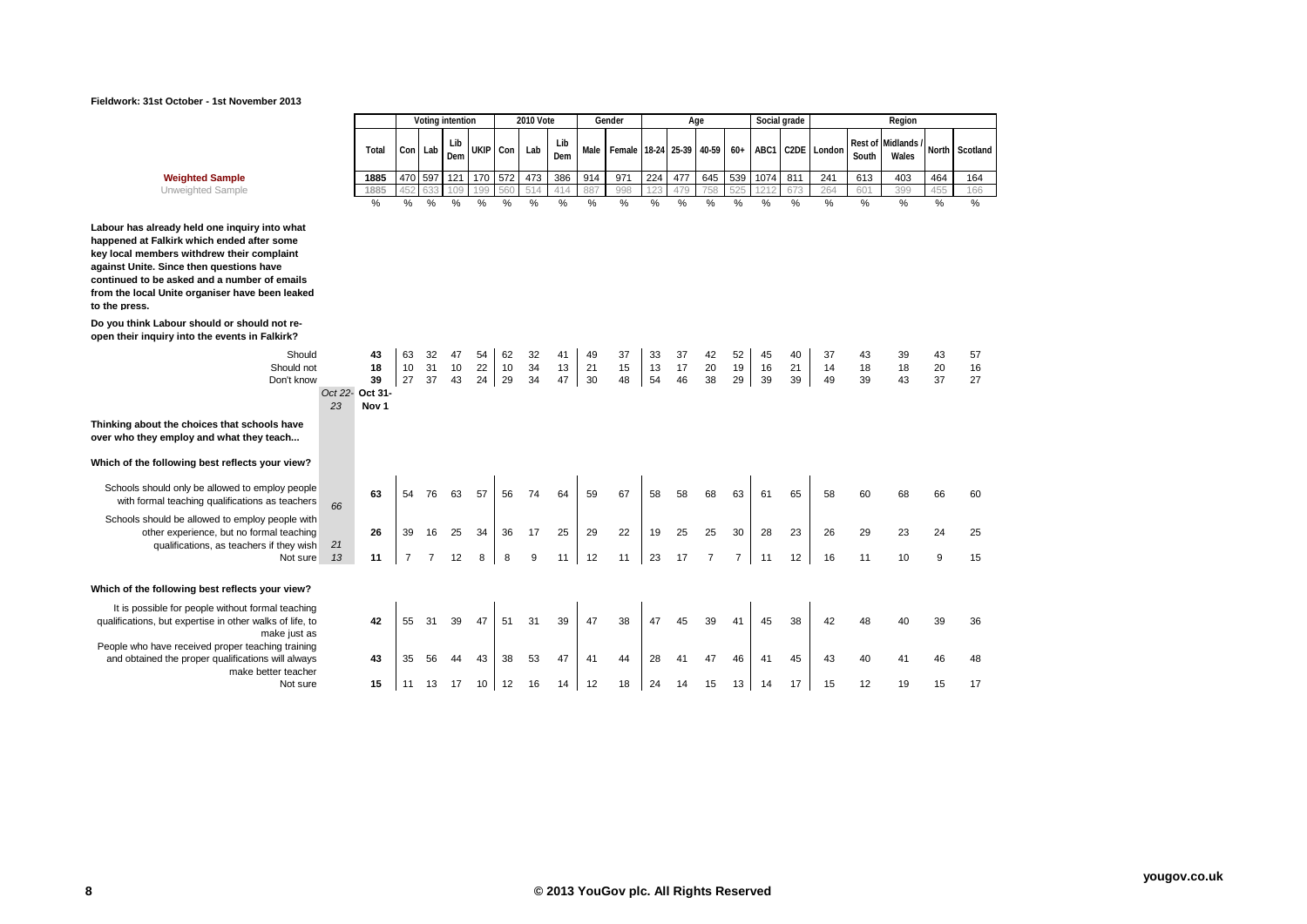

| <b>Weighted Sample</b> |  |
|------------------------|--|
|------------------------|--|

**Labour has already held one inquiry into what happened at Falkirk which ended after some key local members withdrew their complaint against Unite. Since then questions have continued to be asked and a number of emails from the local Unite organiser have been leaked to the press.**

**Do you think Labour should or should not reopen their inquiry into the events in Falkirk?**

**Thinking about the choices that schools have over who they employ and what they teach...**

**Which of the following best reflects your view?**

Schools should only be allowed to employ people with formal teaching qualifications as teachers *<sup>66</sup>*

Schools should be allowed to employ people with other experience, but no formal teaching qualifications, as teachers if they wish *21*

**Which of the following best reflects your view?**

It is possible for people without formal teaching qualifications, but expertise in other walks of life, to make just as People who have received proper teaching training and obtained the proper qualifications will always make better teacher<br>Not sure

|                                                                  |       |   |         | Voting intention |   |              | 2010 Vote   |            |         | Gender                   |      |     | Age |     | Social grade |      |                        |                 | Region |     |                                     |
|------------------------------------------------------------------|-------|---|---------|------------------|---|--------------|-------------|------------|---------|--------------------------|------|-----|-----|-----|--------------|------|------------------------|-----------------|--------|-----|-------------------------------------|
|                                                                  | Total |   | Con Lab | Lib<br>Dem       |   | UKIP Con Lab |             | Lib<br>Dem | Male    | Female 18-24 25-39 40-59 |      |     |     |     |              |      | $60+$ ABC1 C2DE London | South           | Wales  |     | Rest of Midlands / North Scotland 1 |
| <b>Weighted Sample</b>                                           | 1885  |   | 470 597 | 121              |   |              | 170 572 473 |            | 386 914 | 971                      | 224  | 477 |     |     | 645 539 1074 | 811  | 241                    | 613             | 403    | 464 | 164                                 |
| Unweighted Sample                                                | 1885  |   |         |                  |   | 560          | 514         | 414        | 887     | 998                      |      | 479 | 758 | 525 |              | 673  | 264                    | 60 <sup>4</sup> | 399    | 45F | 166                                 |
|                                                                  | %     | % | %       | $\%$             | % | %            | %           | %          | %       | %                        | $\%$ | %   | %   | %   | %            | $\%$ | $\%$                   | %               | %      | %   | %                                   |
| eady held one inquiry into what<br>ılkirk which ended after some |       |   |         |                  |   |              |             |            |         |                          |      |     |     |     |              |      |                        |                 |        |     |                                     |

| alkirk?       |    |                 |    |     |    |    |    |    |    |    |    |    |    |    |    |    |    |    |    |    |    |    |
|---------------|----|-----------------|----|-----|----|----|----|----|----|----|----|----|----|----|----|----|----|----|----|----|----|----|
| Should        |    | 43              | 63 | 32  | 47 | 54 | 62 | 32 | 41 | 49 | 37 | 33 | 37 | 42 | 52 | 45 | 40 | 37 | 43 | 39 | 43 | 57 |
| Should not    |    | 18              | 10 | -31 | 10 | 22 | 10 | 34 | 13 | 21 | 15 | 13 | 17 | 20 | 19 | 16 | 21 | 14 | 18 | 18 | 20 | 16 |
| Don't know    |    | 39              | 27 | 37  | 43 | 24 | 29 | 34 | 47 | 30 | 48 | 54 | 46 | 38 | 29 | 39 | 39 | 49 | 39 | 43 | 37 | 27 |
|               |    | Oct 22- Oct 31- |    |     |    |    |    |    |    |    |    |    |    |    |    |    |    |    |    |    |    |    |
|               | 23 | Nov 1           |    |     |    |    |    |    |    |    |    |    |    |    |    |    |    |    |    |    |    |    |
| the telephone |    |                 |    |     |    |    |    |    |    |    |    |    |    |    |    |    |    |    |    |    |    |    |

| y people<br>teachers                 | 66 | 63 | 54 | 76 | 63 | 57 | 56 | 74 | 64 | 59 | 67 | 58 | 58 | 68 | 63 | 61 | 65 | 58 | 60 | 68 | 66 | 60 |  |
|--------------------------------------|----|----|----|----|----|----|----|----|----|----|----|----|----|----|----|----|----|----|----|----|----|----|--|
| ople with<br>teaching<br>hey wish    | 21 | 26 | 39 | 16 | 25 | 34 | 36 | 17 | 25 | 29 | 22 | 19 | 25 | 25 | 30 | 28 | 23 | 26 | 29 | 23 | 24 | 25 |  |
| Not sure                             | 13 | 11 |    |    | 12 | 8  | 8  | 9  | 11 | 12 | 11 | 23 | 17 | 7  | 7  | 11 | 12 | 16 | 11 | 10 | 9  | 15 |  |
|                                      |    |    |    |    |    |    |    |    |    |    |    |    |    |    |    |    |    |    |    |    |    |    |  |
| view?                                |    |    |    |    |    |    |    |    |    |    |    |    |    |    |    |    |    |    |    |    |    |    |  |
| teaching<br>of life, to<br>e just as |    | 42 | 55 | 31 | 39 | 47 | 51 | 31 | 39 | 47 | 38 | 47 | 45 | 39 | 41 | 45 | 38 | 42 | 48 | 40 | 39 | 36 |  |
| training<br>ill always<br>r teacher  |    | 43 | 35 | 56 | 44 | 43 | 38 | 53 | 47 | 41 | 44 | 28 | 41 | 47 | 46 | 41 | 45 | 43 | 40 | 41 | 46 | 48 |  |
| Not sure                             |    | 15 | 11 | 13 | 17 | 10 | 12 | 16 | 14 | 12 | 18 | 24 | 14 | 15 | 13 | 14 | 17 | 15 | 12 | 19 | 15 | 17 |  |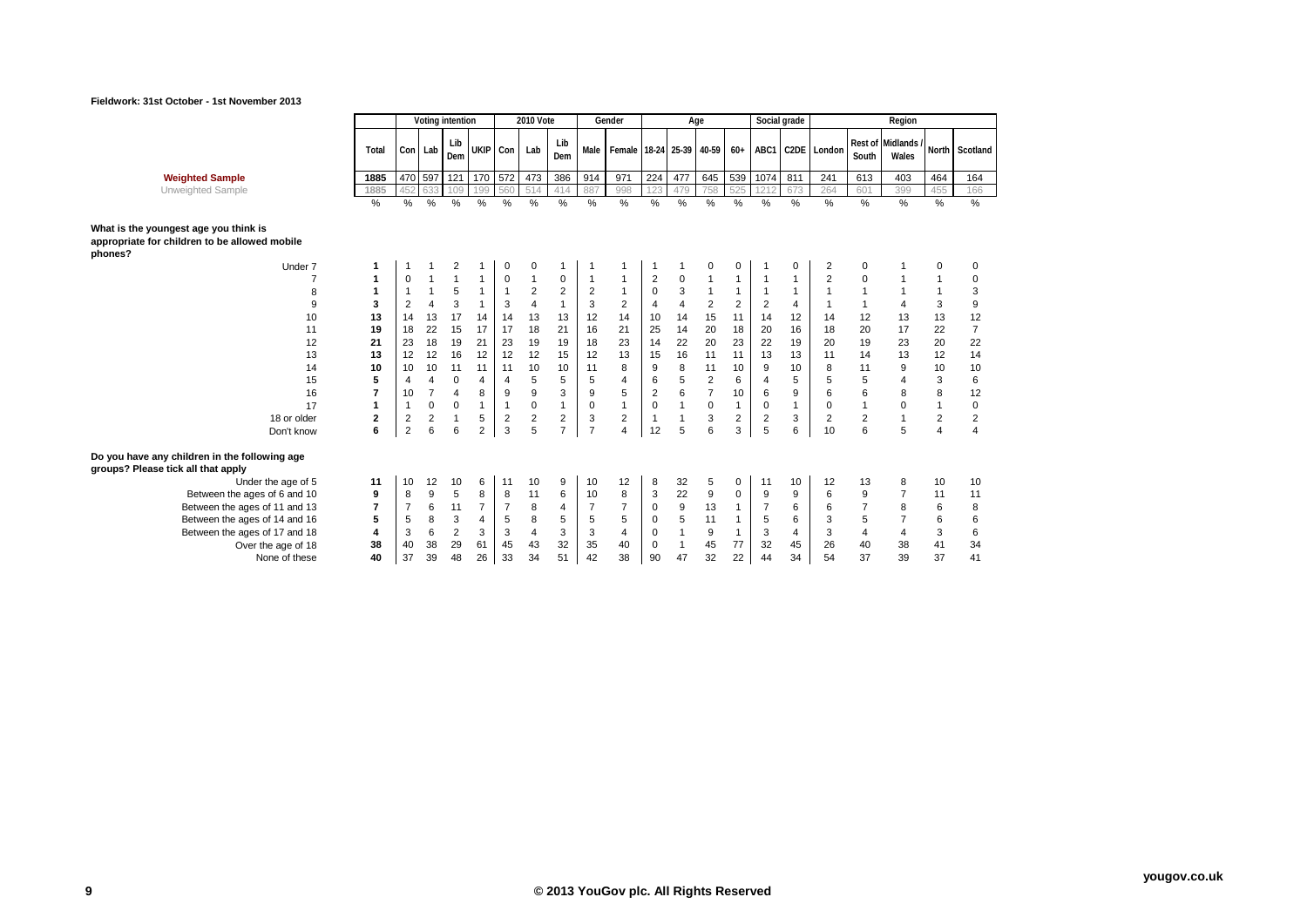П

Τ



┑

|                                                                                     |       | Voting intention        |                |                |                | <b>2010 Vote</b> |                         |                | Gender         |                | Age            |                         |                | Social grade   |                |                   |                | Region         |                           |                |                |
|-------------------------------------------------------------------------------------|-------|-------------------------|----------------|----------------|----------------|------------------|-------------------------|----------------|----------------|----------------|----------------|-------------------------|----------------|----------------|----------------|-------------------|----------------|----------------|---------------------------|----------------|----------------|
|                                                                                     | Total | Con                     | Lab            | Lib<br>Dem     |                | UKIP Con         | Lab                     | Lib<br>Dem     | Male           | Female         |                | 18-24 25-39 40-59       |                | $60+$          | ABC1           | C <sub>2</sub> DE | London         | South          | Rest of Midlands<br>Wales |                | North Scotland |
| <b>Weighted Sample</b>                                                              | 1885  | 470                     | 597            | 121            | 170            | 572              | 473                     | 386            | 914            | 971            | 224            | 477                     | 645            | 539            | 1074           | 811               | 241            | 613            | 403                       | 464            | 164            |
| Unweighted Sample                                                                   | 1885  | 452                     | 633            | 109            | 199            | 560              | 514                     | 414            | 887            | 998            | 123            | 479                     | 758            | 525            | 1212           | 673               | 264            | 601            | 399                       | 455            | 166            |
|                                                                                     | %     | %                       | %              | %              | %              | %                | $\%$                    | %              | %              | %              | %              | %                       | %              | %              | $\%$           | $\%$              | %              | %              | %                         | %              | $\%$           |
| What is the youngest age you think is                                               |       |                         |                |                |                |                  |                         |                |                |                |                |                         |                |                |                |                   |                |                |                           |                |                |
| appropriate for children to be allowed mobile<br>phones?                            |       |                         |                |                |                |                  |                         |                |                |                |                |                         |                |                |                |                   |                |                |                           |                |                |
| Under 7                                                                             | 1     |                         |                | $\overline{2}$ |                | 0                | 0                       |                |                |                |                |                         | 0              | 0              |                | 0                 | 2              | 0              |                           | 0              | 0              |
|                                                                                     | 1     | 0                       |                | $\mathbf{1}$   | 1              | $\pmb{0}$        | $\mathbf 1$             | 0              | -1             |                | $\overline{c}$ | $\mathbf 0$             |                | 1              | $\overline{1}$ |                   | $\overline{2}$ | 0              |                           | 1              | 0              |
| 8                                                                                   | 1     | $\mathbf{1}$            | $\mathbf 1$    | 5              | 1              | $\overline{1}$   | $\overline{2}$          | $\overline{2}$ | $\overline{2}$ | $\mathbf 1$    | $\mathbf 0$    | 3                       | 1              | $\mathbf{1}$   | $\overline{1}$ |                   | $\overline{1}$ | $\mathbf{1}$   |                           | 1              | 3              |
| 9                                                                                   | 3     | $\overline{2}$          | $\overline{4}$ | 3              | 1              | 3                | $\overline{4}$          | $\overline{1}$ | 3              | $\overline{2}$ | 4              | $\overline{\mathbf{4}}$ | $\overline{2}$ | $\overline{2}$ | $\overline{2}$ | 4                 |                | $\mathbf{1}$   | $\overline{4}$            | 3              | 9              |
| 10                                                                                  | 13    | 14                      | 13             | 17             | 14             | 14               | 13                      | 13             | 12             | 14             | 10             | 14                      | 15             | 11             | 14             | 12                | 14             | 12             | 13                        | 13             | 12             |
| 11                                                                                  | 19    | 18                      | 22             | 15             | 17             | 17               | 18                      | 21             | 16             | 21             | 25             | 14                      | 20             | 18             | 20             | 16                | 18             | 20             | 17                        | 22             | $\overline{7}$ |
| 12                                                                                  | 21    | 23                      | 18             | 19             | 21             | 23               | 19                      | 19             | 18             | 23             | 14             | 22                      | 20             | 23             | 22             | 19                | 20             | 19             | 23                        | 20             | 22             |
| 13                                                                                  | 13    | 12                      | 12             | 16             | 12             | 12               | 12                      | 15             | 12             | 13             | 15             | 16                      | 11             | 11             | 13             | 13                | 11             | 14             | 13                        | 12             | 14             |
| 14                                                                                  | 10    | 10                      | 10             | 11             | 11             | 11               | 10                      | 10             | 11             | 8              | 9              | 8                       | 11             | 10             | 9              | 10                | 8              | 11             | 9                         | 10             | 10             |
| 15                                                                                  | 5     | $\overline{4}$          | $\overline{4}$ | $\mathbf 0$    | 4              | $\overline{4}$   | 5                       | 5              | 5              | $\overline{4}$ | 6              | 5                       | $\overline{2}$ | 6              | $\overline{4}$ | 5                 | 5              | 5              | $\overline{4}$            | 3              | 6              |
| 16                                                                                  | 7     | 10                      | $\overline{7}$ | $\overline{4}$ | 8              | 9                | 9                       | 3              | 9              | 5              | $\overline{2}$ | 6                       | $\overline{7}$ | 10             | 6              | 9                 | 6              | 6              | 8                         | 8              | 12             |
| 17                                                                                  | 1     | $\overline{1}$          | $\mathbf 0$    | $\mathbf 0$    | $\mathbf{1}$   | $\overline{1}$   | 0                       | $\mathbf{1}$   | 0              | $\overline{1}$ | $\mathbf 0$    | $\mathbf{1}$            | $\mathbf 0$    | $\mathbf{1}$   | $\mathbf 0$    |                   | $\mathbf 0$    | $\overline{1}$ | $\mathbf 0$               | $\overline{1}$ | $\mathbf 0$    |
| 18 or older                                                                         | 2     | $\overline{\mathbf{c}}$ | $\overline{2}$ | $\overline{1}$ | 5              | $\overline{c}$   | $\overline{\mathbf{c}}$ | $\overline{2}$ | 3              | 2              | $\mathbf{1}$   | $\mathbf{1}$            | 3              | $\overline{2}$ | $\overline{2}$ | 3                 | $\overline{2}$ | $\overline{2}$ |                           | $\overline{c}$ | $\overline{2}$ |
| Don't know                                                                          | 6     | $\overline{2}$          | 6              | 6              | $\overline{2}$ | 3                | 5                       | $\overline{7}$ | $\overline{7}$ | $\overline{4}$ | 12             | 5                       | 6              | 3              | 5              | 6                 | 10             | 6              | 5                         | $\overline{4}$ | $\overline{4}$ |
| Do you have any children in the following age<br>groups? Please tick all that apply |       |                         |                |                |                |                  |                         |                |                |                |                |                         |                |                |                |                   |                |                |                           |                |                |
| Under the age of 5                                                                  | 11    | 10                      | 12             | 10             | 6              | 11               | 10                      | 9              | 10             | 12             | 8              | 32                      | 5              | 0              | 11             | 10                | 12             | 13             | 8                         | 10             | 10             |
| Between the ages of 6 and 10                                                        | 9     | 8                       | 9              | 5              | 8              | 8                | 11                      | 6              | 10             | 8              | 3              | 22                      | 9              | 0              | 9              | 9                 | 6              | 9              | $\overline{7}$            | 11             | 11             |
| Between the ages of 11 and 13                                                       | 7     | $\overline{7}$          | 6              | 11             | $\overline{7}$ | $\overline{7}$   | 8                       | 4              |                | $\overline{7}$ | 0              | 9                       | 13             | $\mathbf{1}$   | $\overline{7}$ | 6                 | 6              | $\overline{7}$ | 8                         | 6              | 8              |
| Between the ages of 14 and 16                                                       | 5     | 5                       | 8              | 3              | 4              | 5                | 8                       | 5              | 5              | 5              | 0              | 5                       | 11             | $\mathbf{1}$   | 5              | 6                 | 3              | 5              | $\overline{7}$            | 6              | 6              |
| Between the ages of 17 and 18                                                       | 4     | 3                       | 6              | $\overline{2}$ | 3              | 3                | 4                       | 3              | 3              | 4              | 0              | $\mathbf{1}$            | 9              | 1              | 3              | 4                 | 3              | $\overline{4}$ | $\overline{4}$            | 3              | 6              |
| Over the age of 18                                                                  | 38    | 40                      | 38             | 29             | 61             | 45               | 43                      | 32             | 35             | 40             | $\mathbf 0$    | $\mathbf{1}$            | 45             | 77             | 32             | 45                | 26             | 40             | 38                        | 41             | 34             |
| None of these                                                                       | 40    | 37                      | 39             | 48             | 26             | 33               | 34                      | 51             | 42             | 38             | 90             | 47                      | 32             | 22             | 44             | 34                | 54             | 37             | 39                        | 37             | 41             |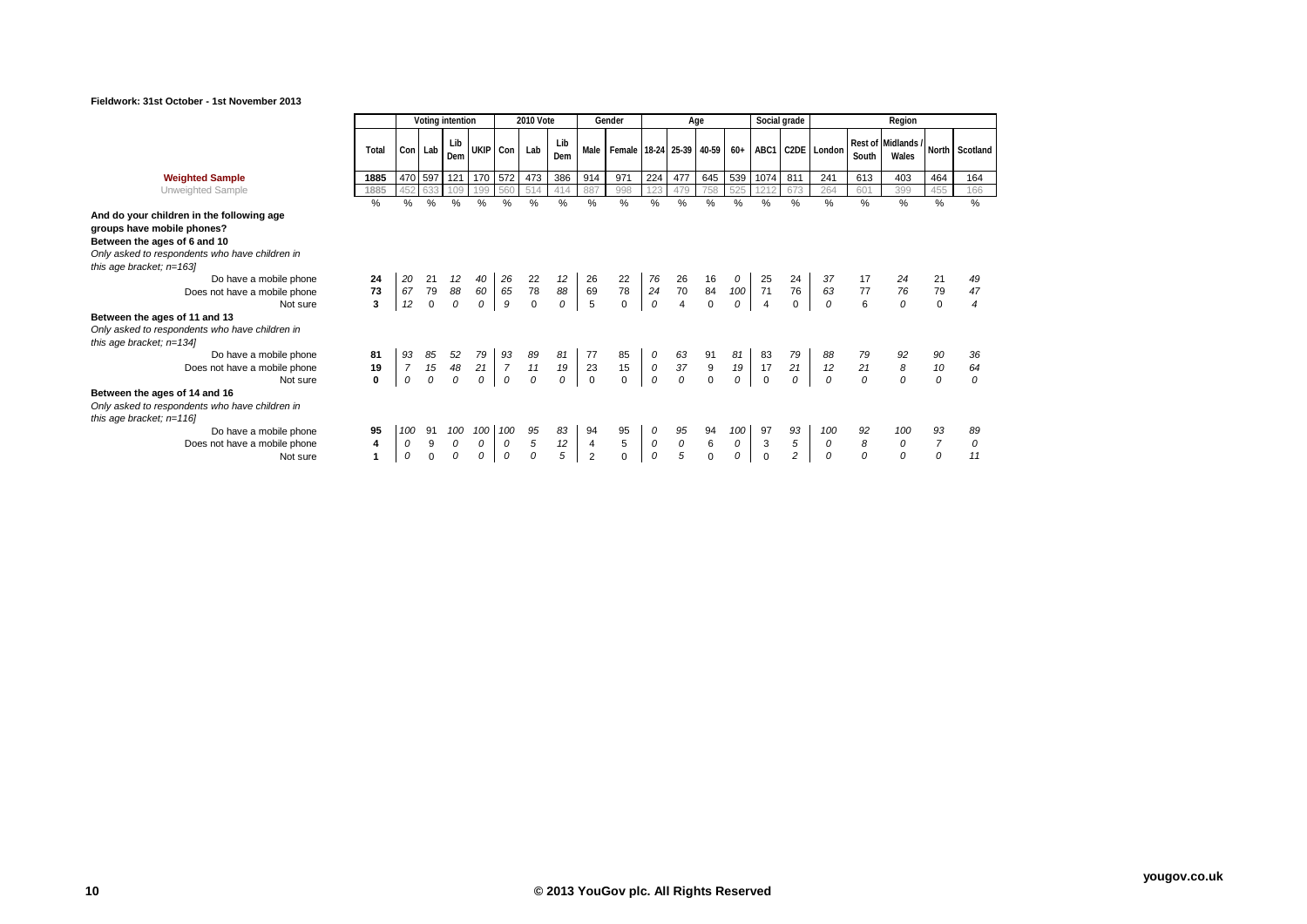

|                                                                                                                                                                                                                                                                                                                                                 |                                                       | Voting intention          |                         |                      |                                               |               | 2010 Vote                                    |                      |                                        | Gender                   |                           |                                | Age                                |                          |                                  | Social grade              |                      |                     | Region                      |                                  |                      |
|-------------------------------------------------------------------------------------------------------------------------------------------------------------------------------------------------------------------------------------------------------------------------------------------------------------------------------------------------|-------------------------------------------------------|---------------------------|-------------------------|----------------------|-----------------------------------------------|---------------|----------------------------------------------|----------------------|----------------------------------------|--------------------------|---------------------------|--------------------------------|------------------------------------|--------------------------|----------------------------------|---------------------------|----------------------|---------------------|-----------------------------|----------------------------------|----------------------|
|                                                                                                                                                                                                                                                                                                                                                 | Total                                                 |                           | Con Lab                 | Lib<br>Dem           | UKIP Con                                      |               | Lab                                          | Lib<br>Dem           | Male                                   | Female 18-24 25-39 40-59 |                           |                                |                                    | $60+$                    | ABC1                             |                           | C2DE London          | South               | Rest of Midlands /<br>Wales |                                  | North Scotland       |
| <b>Weighted Sample</b>                                                                                                                                                                                                                                                                                                                          | 1885                                                  |                           | 470 597                 | 121 170 572          |                                               |               | 473                                          | 386                  | 914                                    | 971                      | 224                       | 477                            | 645                                | 539                      | 1074                             | 811                       | 241                  | 613                 | 403                         | 464                              | 164                  |
| Unweighted Sample                                                                                                                                                                                                                                                                                                                               | 1885                                                  | 452                       | 633                     | 109                  | 199                                           | 560           | 514                                          | 414                  | 887                                    | 998                      | 123                       | 479                            | 758                                | 525                      |                                  | 673                       | 264                  | 601                 | 399                         | 455                              | 166                  |
|                                                                                                                                                                                                                                                                                                                                                 | %                                                     | %                         | %                       | %                    | %                                             | $\frac{0}{0}$ | %                                            | $\%$                 | $\frac{0}{0}$                          | %                        | $\frac{0}{0}$             | %                              | %                                  | %                        | %                                | %                         | $\frac{0}{0}$        | %                   | %                           | %                                | %                    |
| And do your children in the following age<br>groups have mobile phones?<br>Between the ages of 6 and 10<br>Only asked to respondents who have children in<br>this age bracket; $n=163$<br>Do have a mobile phone<br>Does not have a mobile phone<br>Not sure<br>Between the ages of 11 and 13<br>Only asked to respondents who have children in | 24<br>73<br>$\overline{3}$                            | 20<br>67<br>12            | 21<br>79<br>$\mathbf 0$ | 12<br>88<br>0        | 40<br>60<br>$\overline{0}$                    | 26<br>65<br>9 | 22<br>$\begin{array}{c} 78 \\ 0 \end{array}$ | 12<br>88<br>0        | 26<br>69<br>$\overline{5}$             | 22<br>78<br>$\mathbf 0$  | 76<br>24<br>$\mathcal{O}$ | 26<br>$70\,$<br>$\overline{4}$ | 16<br>84<br>$\mathbf 0$            | 100<br>0                 | 25<br>71<br>$\overline{4}$       | 24<br>76<br>$\mathbf{0}$  | 37<br>63<br>0        | 77<br>6             | 76<br>0                     | 21<br>79<br>$\mathbf 0$          | 47<br>$\overline{4}$ |
| this age bracket; $n=134$<br>Do have a mobile phone<br>Does not have a mobile phone<br>Not sure                                                                                                                                                                                                                                                 | 81<br>19<br>$\mathbf 0$                               | 93<br>$\overline{7}$<br>0 | 85<br>15<br>$\Omega$    | 52<br>48<br>$\Omega$ | 79<br>$21 \mid 7$<br>$\overline{\mathcal{O}}$ | 93<br>0       | 89<br>11<br>$\Omega$                         | 81<br>19<br>$\Omega$ | 77<br>23<br>$\mathbf 0$                | 85<br>15<br>$\Omega$     | 0<br>${\cal O}$<br>0      | 63<br>37<br>$\theta$           | 91<br>$\boldsymbol{9}$<br>$\Omega$ | 81<br>$19\,$<br>$\Omega$ | 83<br>17<br>$\Omega$             | 79<br>21<br>$\Omega$      | 88<br>12<br>$\Omega$ | 21<br>$\Omega$      | 8<br>$\Omega$               | 90<br>10<br>0                    | 36<br>64<br>$\Omega$ |
| Between the ages of 14 and 16<br>Only asked to respondents who have children in<br>this age bracket; $n=116$<br>Do have a mobile phone<br>Does not have a mobile phone<br>Not sure                                                                                                                                                              | 95<br>$\overline{\mathbf{4}}$<br>$\blacktriangleleft$ | 100<br>0<br>0             | 91<br>9<br>$\Omega$     | 100<br>0<br>$\Omega$ | $100 \mid$<br>$\overline{0}$<br>0             | 100<br>0<br>0 | 95<br>5<br>0                                 | 83<br>12<br>5        | 94<br>$\overline{4}$<br>$\overline{2}$ | 95<br>5<br>$\mathbf 0$   | 0<br>0<br>0               | 95<br>0<br>5                   | 94<br>6<br>$\Omega$                | 100<br>0<br>0            | 97<br>$\mathsf 3$<br>$\mathbf 0$ | 93<br>5<br>$\overline{c}$ | 100<br>0<br>$\Omega$ | 92<br>8<br>$\Omega$ | 100<br>0<br>$\Omega$        | 93<br>$\overline{7}$<br>$\Omega$ | 89<br>0<br>11        |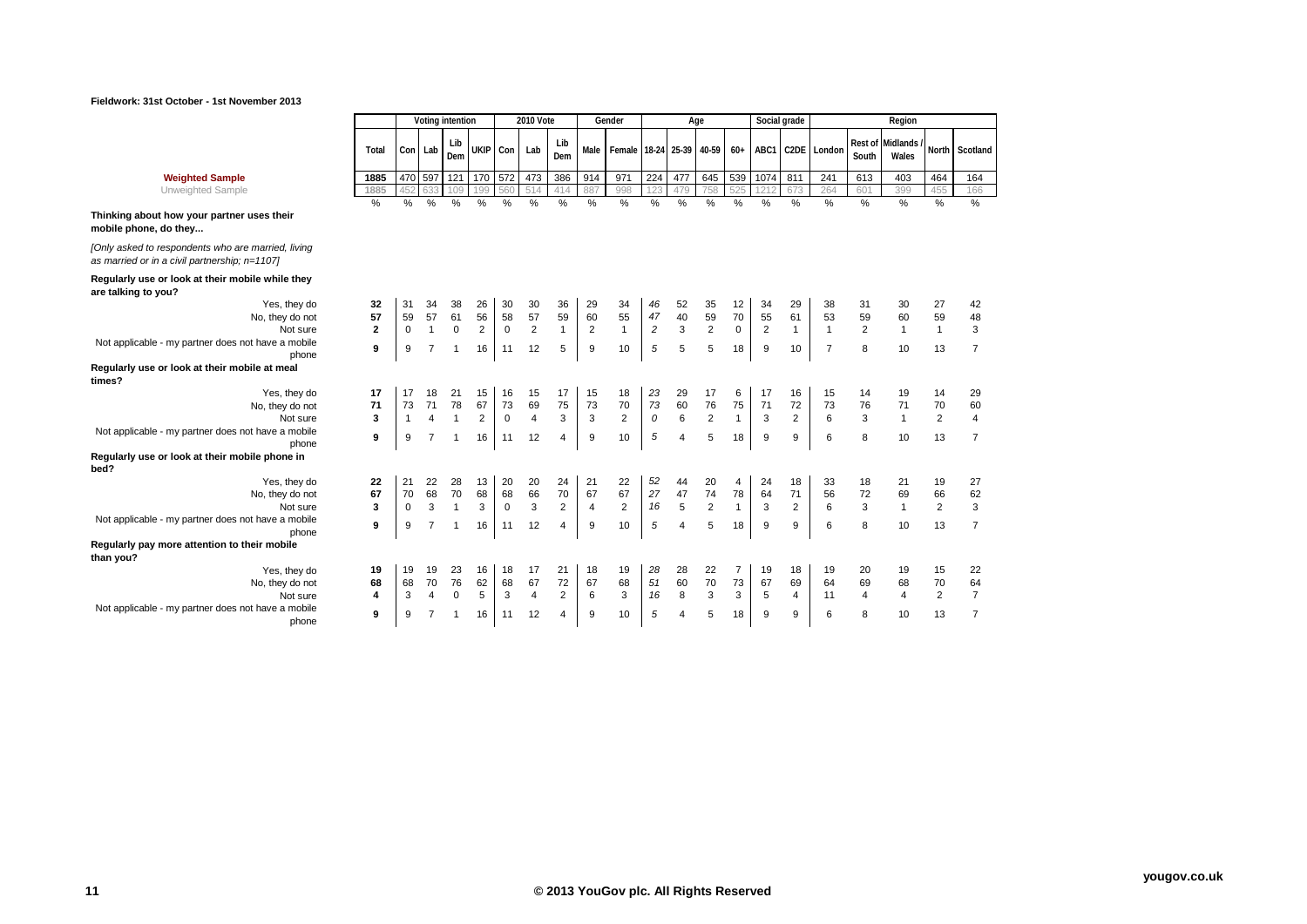

| <b>Weighted</b><br>l Sample | 1885 | 470 597 |        | 121 170 |             | 572 | 473        | 386 | 914 | 971 | 224 l | 477 | 645                  | 539 | J 1074 | 011 | 24' | 613 | 403 | 464  | 164        |
|-----------------------------|------|---------|--------|---------|-------------|-----|------------|-----|-----|-----|-------|-----|----------------------|-----|--------|-----|-----|-----|-----|------|------------|
| JI IVVEIUI F                | 1885 | +12     | $\sim$ |         | .<br>$\sim$ |     | 514<br>. . | 414 |     | 998 |       | ⊶   | $\sim$ $\sim$ $\sim$ | VLU | $\sim$ |     |     | ◡◡  | 300 | $+1$ | 100<br>166 |

Unweighted Sample **1885** 452 633 109 199 560 514 414 887 998 123 479 758 525 1212 673 264 601 399 455 166

## **Thinking about how your partner uses their mobile phone, do they...**

*[Only asked to respondents who are married, living as married or in a civil partnership; n=1107]*

### **Regularly use or look at their mobile while they are talking to you?**

| are talking to you?                                |             |                |              |                |             |                |                |                |                |                |                 |                |          |                |                |    |                |    |                |    |
|----------------------------------------------------|-------------|----------------|--------------|----------------|-------------|----------------|----------------|----------------|----------------|----------------|-----------------|----------------|----------|----------------|----------------|----|----------------|----|----------------|----|
| 32<br>Yes, they do                                 | 31          | 34             | 38           | 26             | 30          | 30             | 36             | 29             | 34             | 46             | 52              | 35             | 12       | 34             | 29             | 38 | 31             | 30 | 27             | 42 |
| 57<br>No, they do not                              | 59          | 57             | 61           | 56             | 58          | 57             | 59             | 60             | 55             | 47             | 40              | 59             | 70       | 55             | 61             | 53 | 59             | 60 | 59             | 48 |
| $\mathbf{2}$<br>Not sure                           | $\mathbf 0$ |                | $\Omega$     | $\overline{2}$ | $\mathbf 0$ | $\overline{2}$ |                | $\overline{2}$ |                | $\overline{c}$ | 3               | $\overline{2}$ | $\Omega$ | $\overline{2}$ |                |    | $\overline{2}$ |    |                | 3  |
| Not applicable - my partner does not have a mobile |             |                |              |                |             |                |                |                |                |                |                 |                |          |                |                |    |                |    |                |    |
| 9<br>phone                                         | 9           |                |              | 16             | 11          | 12             | 5              | 9              | 10             | 5              | 5               | 5              | 18       | 9              | 10             |    | 8              | 10 | 13             |    |
| Regularly use or look at their mobile at meal      |             |                |              |                |             |                |                |                |                |                |                 |                |          |                |                |    |                |    |                |    |
| times?                                             |             |                |              |                |             |                |                |                |                |                |                 |                |          |                |                |    |                |    |                |    |
| 17<br>Yes, they do                                 | 17          | 18             | 21           | 15             | 16          | 15             | 17             | 15             | 18             | 23             | 29              | 17             | 6        | 17             | 16             | 15 | 14             | 19 | 14             | 29 |
| 71<br>No, they do not                              | 73          | 71             | 78           | 67             | 73          | 69             | 75             | 73             | 70             | 73             | 60              | 76             | 75       | 71             | 72             | 73 | 76             | 71 | 70             | 60 |
| 3<br>Not sure                                      |             | 4              |              | $\overline{2}$ | $\mathbf 0$ | $\overline{4}$ | 3              | 3              | $\overline{2}$ | $\mathcal O$   | 6               | $\overline{2}$ |          | 3              | $\overline{2}$ | 6  | 3              |    | $\overline{2}$ | 4  |
| Not applicable - my partner does not have a mobile |             |                |              |                |             |                |                |                |                |                |                 |                |          |                |                |    |                |    |                |    |
| 9<br>phone                                         | 9           |                |              | 16             | 11          | 12             | 4              | 9              | 10             | 5              | $\overline{4}$  | 5              | 18       | 9              | 9              | 6  | 8              | 10 | 13             |    |
| Regularly use or look at their mobile phone in     |             |                |              |                |             |                |                |                |                |                |                 |                |          |                |                |    |                |    |                |    |
| bed?                                               |             |                |              |                |             |                |                |                |                |                |                 |                |          |                |                |    |                |    |                |    |
| Yes, they do<br>22                                 | 21          | 22             | 28           | 13             | 20          | 20             | 24             | 21             | 22             | 52             | 44              | 20             | 4        | 24             | 18             | 33 | 18             | 21 | 19             | 27 |
| 67<br>No, they do not                              | 70          | 68             | 70           | 68             | 68          | 66             | 70             | 67             | 67             | 27             | 47              | 74             | 78       | 64             | 71             | 56 | 72             | 69 | 66             | 62 |
| 3<br>Not sure                                      | $\mathbf 0$ | 3              |              | 3              | $\Omega$    | 3              | $\overline{2}$ | $\overline{4}$ | $\overline{2}$ | 16             | $5\overline{5}$ | $\overline{2}$ |          | 3              | $\overline{2}$ | 6  | 3              |    | $\overline{2}$ | 3  |
| Not applicable - my partner does not have a mobile |             | $\overline{7}$ |              |                |             |                |                |                |                |                |                 |                |          |                |                |    |                |    |                |    |
| 9<br>phone                                         | 9           |                | $\mathbf{1}$ | 16             | 11          | 12             | 4              | 9              | 10             | 5              | $\overline{4}$  | 5              | 18       | 9              | 9              | 6  | 8              | 10 | 13             |    |
| Regularly pay more attention to their mobile       |             |                |              |                |             |                |                |                |                |                |                 |                |          |                |                |    |                |    |                |    |
| than you?                                          |             |                |              |                |             |                |                |                |                |                |                 |                |          |                |                |    |                |    |                |    |
| 19<br>Yes, they do                                 | 19          | 19             | 23           | 16             | 18          | 17             | 21             | 18             | 19             | 28             | 28              | 22             |          | 19             | 18             | 19 | 20             | 19 | 15             | 22 |
| 68<br>No, they do not                              | 68          | 70             | 76           | 62             | 68          | 67             | 72             | 67             | 68             | 51             | 60              | 70             | 73       | 67             | 69             | 64 | 69             | 68 | 70             | 64 |
| Not sure<br>4                                      | 3           | $\overline{4}$ | $\mathbf 0$  | 5              | 3           | $\overline{4}$ | $\overline{2}$ | 6              | 3              | 16             | 8               | 3              | 3        | 5              | 4              | 11 | 4              | 4  | $\overline{2}$ |    |
| Not applicable - my partner does not have a mobile |             |                |              |                |             |                |                |                |                |                |                 |                |          |                |                |    |                |    |                |    |
| 9<br>phone                                         | g           |                |              | 16             | 11          | 12             | 4              | 9              | 10             | 5              |                 | 5              | 18       | 9              | 9              | 6  | 8              | 10 | 13             |    |

**Dem UKIP Con Lab Lib** 

**Dem Male Female 18-24 25-39 40-59 60+ ABC1 C2DE London Rest of** 

% % % % % % % % % % % % % % % % % % % % %

**Voting intention 2010 Vote Gender Age Social grade Region**

**South**

Midlands<br>Wales

**Wales North Scotland**

**Total Con Lab Lib**